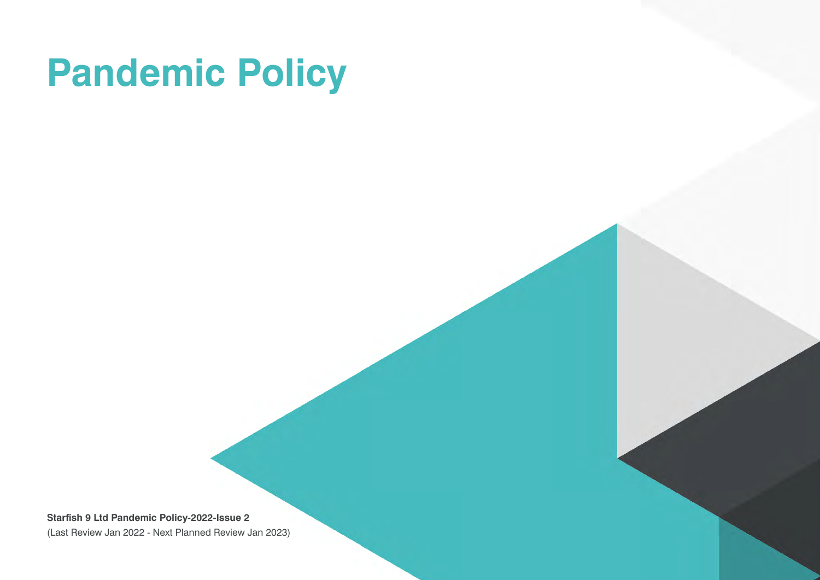# **Pandemic Policy**

**Starfish 9 Ltd Pandemic Policy-2022-Issue 2** (Last Review Jan 2022 - Next Planned Review Jan 2023)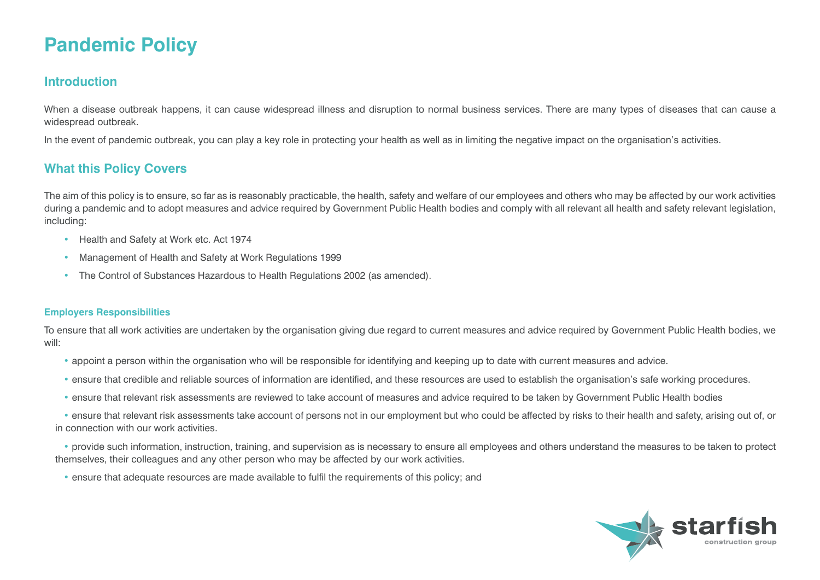# **Pandemic Policy**

### **Introduction**

When a disease outbreak happens, it can cause widespread illness and disruption to normal business services. There are many types of diseases that can cause a widespread outbreak.

In the event of pandemic outbreak, you can play a key role in protecting your health as well as in limiting the negative impact on the organisation's activities.

## **What this Policy Covers**

The aim of this policy is to ensure, so far as is reasonably practicable, the health, safety and welfare of our employees and others who may be affected by our work activities during a pandemic and to adopt measures and advice required by Government Public Health bodies and comply with all relevant all health and safety relevant legislation, including:

- Health and Safety at Work etc. Act 1974
- Management of Health and Safety at Work Regulations 1999
- The Control of Substances Hazardous to Health Regulations 2002 (as amended).

#### **Employers Responsibilities**

To ensure that all work activities are undertaken by the organisation giving due regard to current measures and advice required by Government Public Health bodies, we will:

- appoint a person within the organisation who will be responsible for identifying and keeping up to date with current measures and advice.
- ensure that credible and reliable sources of information are identified, and these resources are used to establish the organisation's safe working procedures.
- ensure that relevant risk assessments are reviewed to take account of measures and advice required to be taken by Government Public Health bodies

• ensure that relevant risk assessments take account of persons not in our employment but who could be affected by risks to their health and safety, arising out of, or in connection with our work activities.

• provide such information, instruction, training, and supervision as is necessary to ensure all employees and others understand the measures to be taken to protect themselves, their colleagues and any other person who may be affected by our work activities.

• ensure that adequate resources are made available to fulfil the requirements of this policy; and

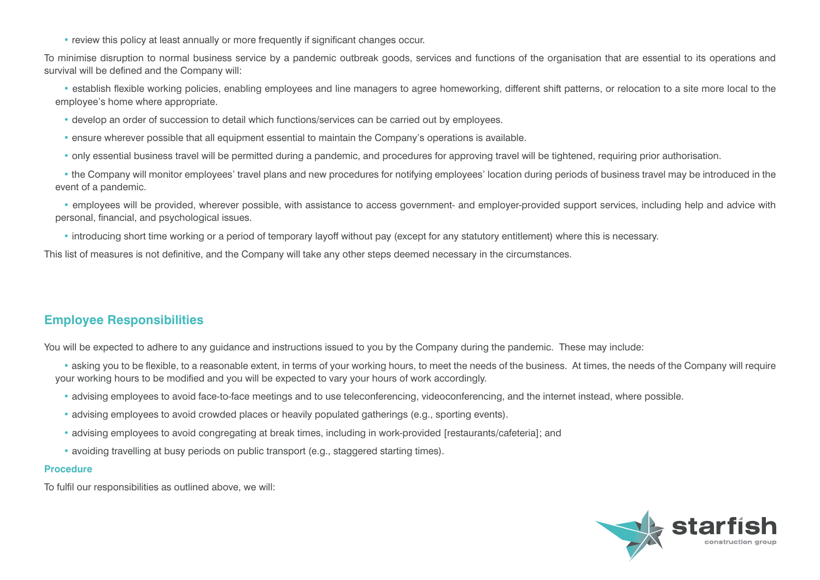• review this policy at least annually or more frequently if significant changes occur.

To minimise disruption to normal business service by a pandemic outbreak goods, services and functions of the organisation that are essential to its operations and survival will be defined and the Company will:

• establish flexible working policies, enabling employees and line managers to agree homeworking, different shift patterns, or relocation to a site more local to the employee's home where appropriate.

- develop an order of succession to detail which functions/services can be carried out by employees.
- ensure wherever possible that all equipment essential to maintain the Company's operations is available.
- only essential business travel will be permitted during a pandemic, and procedures for approving travel will be tightened, requiring prior authorisation.

• the Company will monitor employees' travel plans and new procedures for notifying employees' location during periods of business travel may be introduced in the event of a pandemic.

• employees will be provided, wherever possible, with assistance to access government- and employer-provided support services, including help and advice with personal, financial, and psychological issues.

• introducing short time working or a period of temporary layoff without pay (except for any statutory entitlement) where this is necessary.

This list of measures is not definitive, and the Company will take any other steps deemed necessary in the circumstances.

# **Employee Responsibilities**

You will be expected to adhere to any guidance and instructions issued to you by the Company during the pandemic. These may include:

- asking you to be flexible, to a reasonable extent, in terms of your working hours, to meet the needs of the business. At times, the needs of the Company will require your working hours to be modified and you will be expected to vary your hours of work accordingly.
	- advising employees to avoid face-to-face meetings and to use teleconferencing, videoconferencing, and the internet instead, where possible.
	- advising employees to avoid crowded places or heavily populated gatherings (e.g., sporting events).
	- advising employees to avoid congregating at break times, including in work-provided [restaurants/cafeteria]; and
	- avoiding travelling at busy periods on public transport (e.g., staggered starting times).

#### **Procedure**

To fulfil our responsibilities as outlined above, we will:

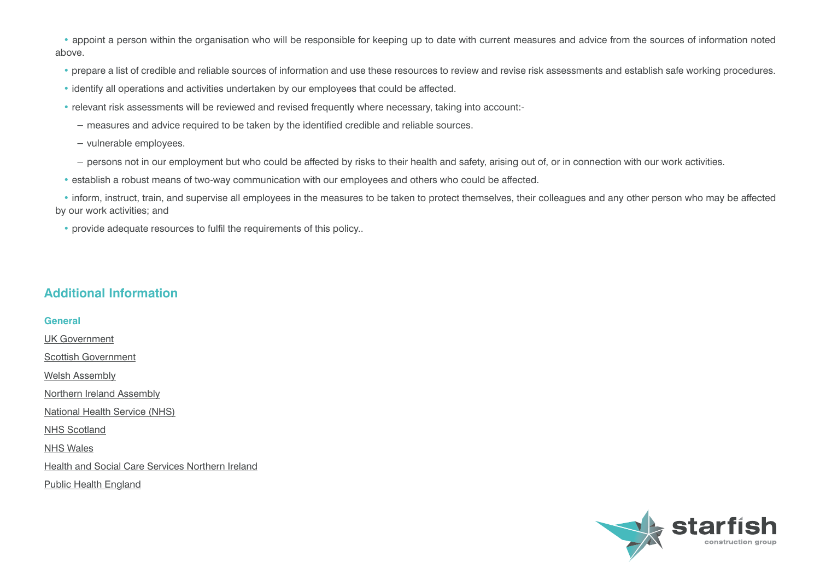• appoint a person within the organisation who will be responsible for keeping up to date with current measures and advice from the sources of information noted above.

- prepare a list of credible and reliable sources of information and use these resources to review and revise risk assessments and establish safe working procedures.
- identify all operations and activities undertaken by our employees that could be affected.
- relevant risk assessments will be reviewed and revised frequently where necessary, taking into account:-
	- − measures and advice required to be taken by the identified credible and reliable sources.
	- − vulnerable employees.
	- − persons not in our employment but who could be affected by risks to their health and safety, arising out of, or in connection with our work activities.
- establish a robust means of two-way communication with our employees and others who could be affected.

• inform, instruct, train, and supervise all employees in the measures to be taken to protect themselves, their colleagues and any other person who may be affected by our work activities; and

• provide adequate resources to fulfil the requirements of this policy..

# **Additional Information**

#### **General**

[UK Government](https://www.gov.uk/) [Scottish Government](https://www.gov.scot/) [Welsh Assembly](http://www.assembly.wales) [Northern Ireland Assembly](http://www.niassembly.gov.uk) [National Health Service \(NHS\)](https://www.nhs.uk/) [NHS Scotland](http://www.scot.nhs.uk/) [NHS Wales](http://www.wales.nhs.uk) [Health and Social Care Services Northern Ireland](http://www.hscni.net) [Public Health England](https://www.gov.uk/government/organisations/public-health-england)